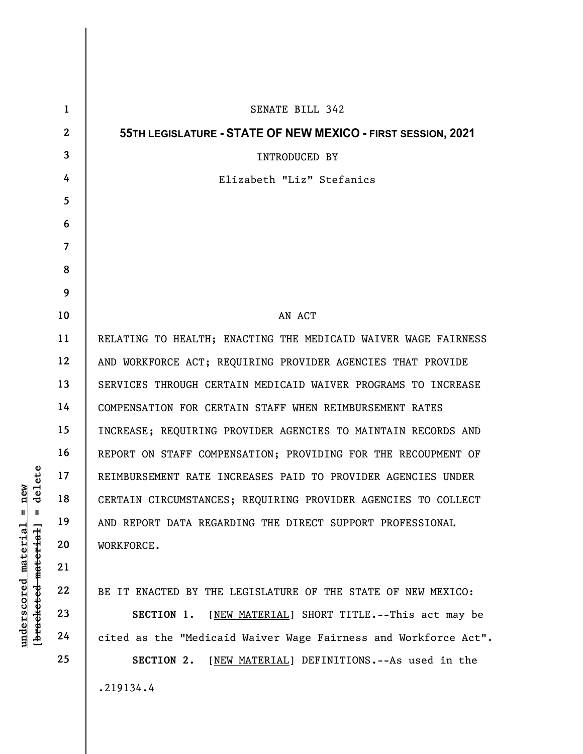| delete<br>new<br>$^{\mathsf{II}}$<br>Ш<br><u>material</u><br>[bracketed material] | $\mathbf{1}$   | SENATE BILL 342                                                 |
|-----------------------------------------------------------------------------------|----------------|-----------------------------------------------------------------|
|                                                                                   | $\mathbf{2}$   | 55TH LEGISLATURE - STATE OF NEW MEXICO - FIRST SESSION, 2021    |
|                                                                                   | $\mathbf{3}$   | INTRODUCED BY                                                   |
|                                                                                   | 4              | Elizabeth "Liz" Stefanics                                       |
|                                                                                   | $\overline{5}$ |                                                                 |
|                                                                                   | 6              |                                                                 |
|                                                                                   | $\overline{7}$ |                                                                 |
|                                                                                   | 8              |                                                                 |
|                                                                                   | 9              |                                                                 |
|                                                                                   | 10             | AN ACT                                                          |
|                                                                                   | 11             | RELATING TO HEALTH; ENACTING THE MEDICAID WAIVER WAGE FAIRNESS  |
|                                                                                   | 12             | AND WORKFORCE ACT; REQUIRING PROVIDER AGENCIES THAT PROVIDE     |
|                                                                                   | 13             | SERVICES THROUGH CERTAIN MEDICAID WAIVER PROGRAMS TO INCREASE   |
|                                                                                   | 14             | COMPENSATION FOR CERTAIN STAFF WHEN REIMBURSEMENT RATES         |
|                                                                                   | 15             | INCREASE; REQUIRING PROVIDER AGENCIES TO MAINTAIN RECORDS AND   |
|                                                                                   | 16             | REPORT ON STAFF COMPENSATION; PROVIDING FOR THE RECOUPMENT OF   |
|                                                                                   | 17             | REIMBURSEMENT RATE INCREASES PAID TO PROVIDER AGENCIES UNDER    |
|                                                                                   | 18             | CERTAIN CIRCUMSTANCES; REQUIRING PROVIDER AGENCIES TO COLLECT   |
|                                                                                   | 19             | AND REPORT DATA REGARDING THE DIRECT SUPPORT PROFESSIONAL       |
|                                                                                   | 20             | WORKFORCE.                                                      |
|                                                                                   | 21             |                                                                 |
|                                                                                   | 22             | BE IT ENACTED BY THE LEGISLATURE OF THE STATE OF NEW MEXICO:    |
| underscored                                                                       | 23             | [NEW MATERIAL] SHORT TITLE.--This act may be<br>SECTION 1.      |
|                                                                                   | 24             | cited as the "Medicaid Waiver Wage Fairness and Workforce Act". |
|                                                                                   | 25             | SECTION 2.<br>[NEW MATERIAL] DEFINITIONS. -- As used in the     |
|                                                                                   |                | .219134.4                                                       |
|                                                                                   |                |                                                                 |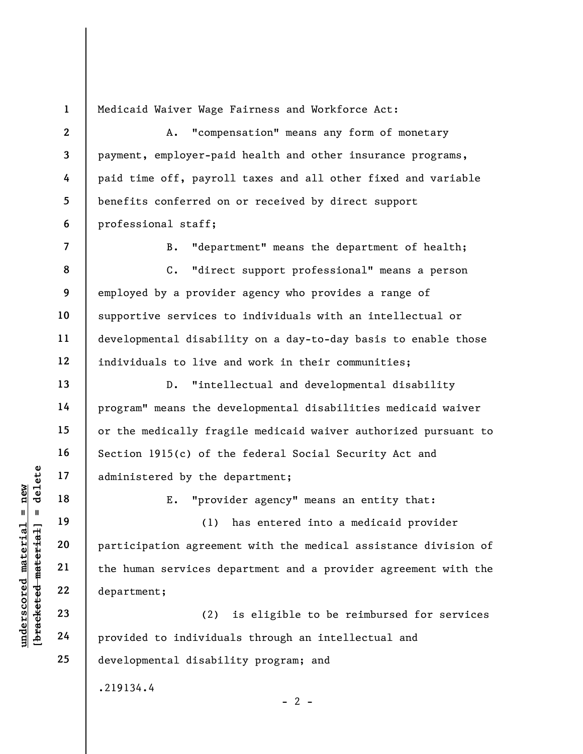1

Medicaid Waiver Wage Fairness and Workforce Act:

2 3 4 5 6 A. "compensation" means any form of monetary payment, employer-paid health and other insurance programs, paid time off, payroll taxes and all other fixed and variable benefits conferred on or received by direct support professional staff;

7

8

9

10

11

13

14

15

16

17

18

19

20

21

22

23

24

25

B. "department" means the department of health;

12 C. "direct support professional" means a person employed by a provider agency who provides a range of supportive services to individuals with an intellectual or developmental disability on a day-to-day basis to enable those individuals to live and work in their communities;

D. "intellectual and developmental disability program" means the developmental disabilities medicaid waiver or the medically fragile medicaid waiver authorized pursuant to Section 1915(c) of the federal Social Security Act and administered by the department;

E. "provider agency" means an entity that:

underscored material material end of the definition of the definition of the definition of the definition of the department;<br>
we can also also also department;<br>
and 22 department;<br>
23 department;<br>
24 provided to individual (1) has entered into a medicaid provider participation agreement with the medical assistance division of the human services department and a provider agreement with the department;

(2) is eligible to be reimbursed for services provided to individuals through an intellectual and developmental disability program; and

 $- 2 -$ 

.219134.4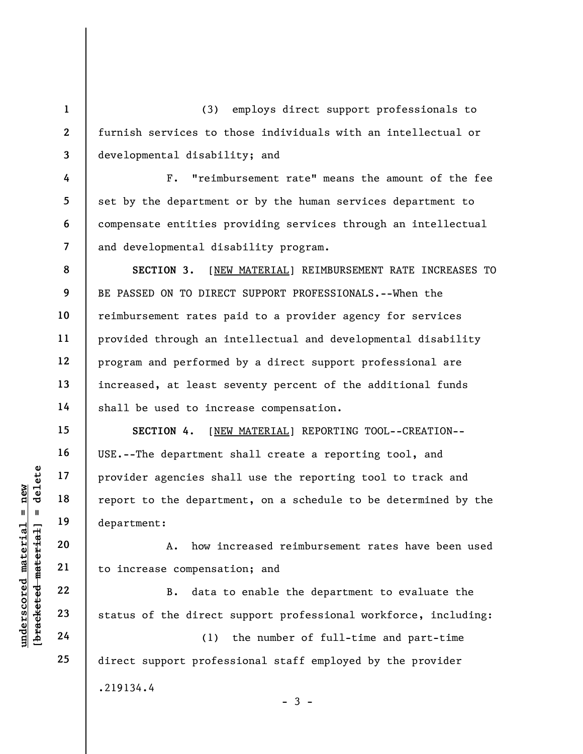(3) employs direct support professionals to furnish services to those individuals with an intellectual or developmental disability; and

F. "reimbursement rate" means the amount of the fee set by the department or by the human services department to compensate entities providing services through an intellectual and developmental disability program.

8 9 10 12 SECTION 3. [NEW MATERIAL] REIMBURSEMENT RATE INCREASES TO BE PASSED ON TO DIRECT SUPPORT PROFESSIONALS.--When the reimbursement rates paid to a provider agency for services provided through an intellectual and developmental disability program and performed by a direct support professional are increased, at least seventy percent of the additional funds shall be used to increase compensation.

underscored material = new [bracketed material] = delete SECTION 4. [NEW MATERIAL] REPORTING TOOL--CREATION-- USE.--The department shall create a reporting tool, and provider agencies shall use the reporting tool to track and report to the department, on a schedule to be determined by the department:

A. how increased reimbursement rates have been used to increase compensation; and

B. data to enable the department to evaluate the status of the direct support professional workforce, including:

(1) the number of full-time and part-time direct support professional staff employed by the provider .219134.4  $-3 -$ 

1

2

3

4

5

6

7

11

13

14

15

16

17

18

19

20

21

22

23

24

25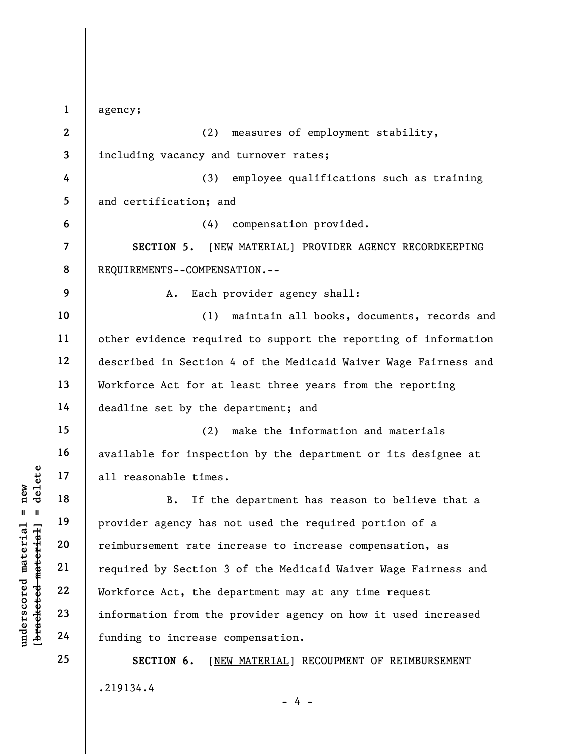understand material material end of the provider agency has not interested material provider agency has not interested material control of the contract of the denging density of the funding to increase or the funding to in 1 2 3 4 5 6 7 8 9 10 11 12 13 14 15 16 17 18 19 20 21 22 23 24 25 agency; (2) measures of employment stability, including vacancy and turnover rates; (3) employee qualifications such as training and certification; and (4) compensation provided. SECTION 5. [NEW MATERIAL] PROVIDER AGENCY RECORDKEEPING REQUIREMENTS--COMPENSATION.-- A. Each provider agency shall: (1) maintain all books, documents, records and other evidence required to support the reporting of information described in Section 4 of the Medicaid Waiver Wage Fairness and Workforce Act for at least three years from the reporting deadline set by the department; and (2) make the information and materials available for inspection by the department or its designee at all reasonable times. B. If the department has reason to believe that a provider agency has not used the required portion of a reimbursement rate increase to increase compensation, as required by Section 3 of the Medicaid Waiver Wage Fairness and Workforce Act, the department may at any time request information from the provider agency on how it used increased funding to increase compensation. SECTION 6. [NEW MATERIAL] RECOUPMENT OF REIMBURSEMENT .219134.4 - 4 -